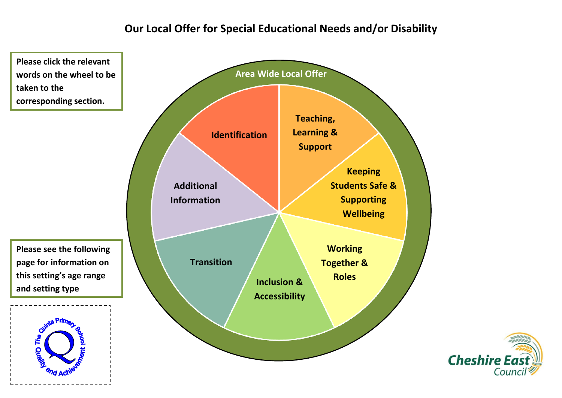# **Our Local Offer for Special Educational Needs and/or Disability**

**words on the wheel to be taken to the corresponding section. Please see the following page for information on this setting's age range and setting typeQuality** 

<span id="page-0-0"></span>**Please click the relevant** 



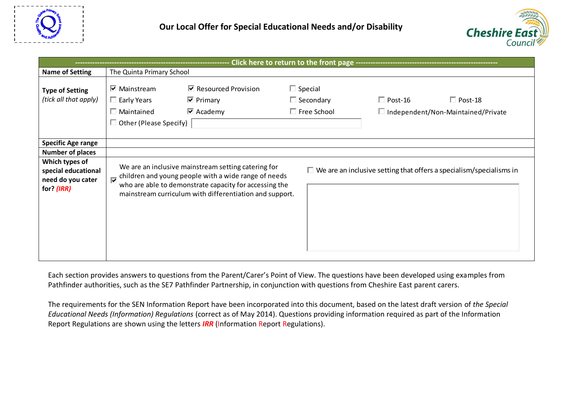



| <b>Name of Setting</b>                                                     | The Quinta Primary School                                                                       |                                                                                                                                                                                                                                  |                                                          |                                                                               |  |  |
|----------------------------------------------------------------------------|-------------------------------------------------------------------------------------------------|----------------------------------------------------------------------------------------------------------------------------------------------------------------------------------------------------------------------------------|----------------------------------------------------------|-------------------------------------------------------------------------------|--|--|
| <b>Type of Setting</b><br>(tick all that apply)                            | $\nabla$ Mainstream<br>$\Box$ Early Years<br>$\Box$ Maintained<br>$\Box$ Other (Please Specify) | $\triangleright$ Resourced Provision<br>$\nabla$ Primary<br>$\overline{\triangledown}$ Academy                                                                                                                                   | $\Box$ Special<br>$\Box$ Secondary<br>$\Box$ Free School | $\Box$ Post-18<br>$\Box$ Post-16<br>$\Box$ Independent/Non-Maintained/Private |  |  |
| <b>Specific Age range</b>                                                  |                                                                                                 |                                                                                                                                                                                                                                  |                                                          |                                                                               |  |  |
| <b>Number of places</b>                                                    |                                                                                                 |                                                                                                                                                                                                                                  |                                                          |                                                                               |  |  |
| Which types of<br>special educational<br>need do you cater<br>for? $(IRR)$ |                                                                                                 | We are an inclusive mainstream setting catering for<br>children and young people with a wide range of needs<br>who are able to demonstrate capacity for accessing the<br>mainstream curriculum with differentiation and support. |                                                          | $\Box$ We are an inclusive setting that offers a specialism/specialisms in    |  |  |

Each section provides answers to questions from the Parent/Carer's Point of View. The questions have been developed using examples from Pathfinder authorities, such as the SE7 Pathfinder Partnership, in conjunction with questions from Cheshire East parent carers.

The requirements for the SEN Information Report have been incorporated into this document, based on the latest draft version of *the Special Educational Needs (Information) Regulations* (correct as of May 2014). Questions providing information required as part of the Information Report Regulations are shown using the letters *IRR* (Information Report Regulations).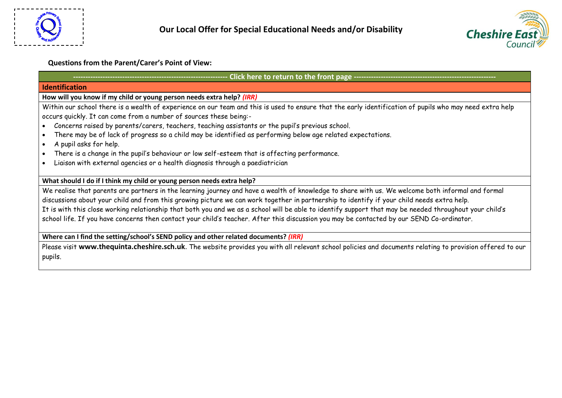



### **Questions from the Parent/Carer's Point of View:**

<span id="page-2-0"></span>

| Click here to return to the front page -------------------------                                                                                         |  |  |  |  |
|----------------------------------------------------------------------------------------------------------------------------------------------------------|--|--|--|--|
| <b>Identification</b>                                                                                                                                    |  |  |  |  |
| How will you know if my child or young person needs extra help? (IRR)                                                                                    |  |  |  |  |
| Within our school there is a wealth of experience on our team and this is used to ensure that the early identification of pupils who may need extra help |  |  |  |  |
| occurs quickly. It can come from a number of sources these being:-                                                                                       |  |  |  |  |
| • Concerns raised by parents/carers, teachers, teaching assistants or the pupil's previous school.                                                       |  |  |  |  |
| • There may be of lack of progress so a child may be identified as performing below age related expectations.                                            |  |  |  |  |
| • A pupil asks for help.                                                                                                                                 |  |  |  |  |
| • There is a change in the pupil's behaviour or low self-esteem that is affecting performance.                                                           |  |  |  |  |
| • Liaison with external agencies or a health diagnosis through a paediatrician                                                                           |  |  |  |  |
| What should I do if I think my child or young person needs extra help?                                                                                   |  |  |  |  |
| We realise that parents are partners in the learning journey and have a wealth of knowledge to share with us. We welcome both informal and formal        |  |  |  |  |
| discussions about your child and from this growing picture we can work together in partnership to identify if your child needs extra help.               |  |  |  |  |

It is with this close working relationship that both you and we as a school will be able to identify support that may be needed throughout your child's school life. If you have concerns then contact your child's teacher. After this discussion you may be contacted by our SEND Co-ordinator.

**Where can I find the setting/school's SEND policy and other related documents?** *(IRR)*

Please visit **[www.thequinta.cheshire.sch.uk](http://www.thequinta.cheshire.sch.uk/)**. The website provides you with all relevant school policies and documents relating to provision offered to our pupils.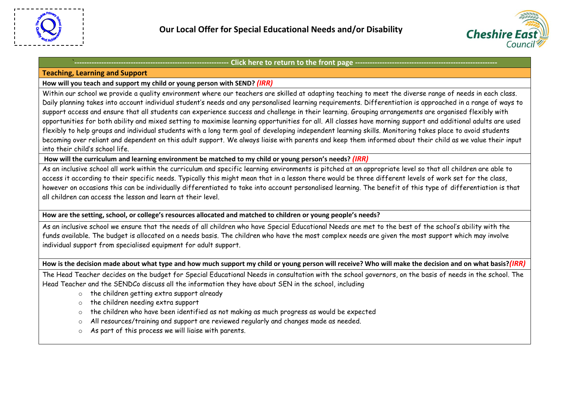



## <span id="page-3-0"></span>**Teaching, Learning and Support**

# **How will you teach and support my child or young person with SEND?** *(IRR)*

Within our school we provide a quality environment where our teachers are skilled at adapting teaching to meet the diverse range of needs in each class. Daily planning takes into account individual student's needs and any personalised learning requirements. Differentiation is approached in a range of ways to support access and ensure that all students can experience success and challenge in their learning. Grouping arrangements are organised flexibly with opportunities for both ability and mixed setting to maximise learning opportunities for all. All classes have morning support and additional adults are used flexibly to help groups and individual students with a long term goal of developing independent learning skills. Monitoring takes place to avoid students becoming over reliant and dependent on this adult support. We always liaise with parents and keep them informed about their child as we value their input into their child's school life.

**How will the curriculum and learning environment be matched to my child or young person's needs?** *(IRR)*

As an inclusive school all work within the curriculum and specific learning environments is pitched at an appropriate level so that all children are able to access it according to their specific needs. Typically this might mean that in a lesson there would be three different levels of work set for the class, however on occasions this can be individually differentiated to take into account personalised learning. The benefit of this type of differentiation is that all children can access the lesson and learn at their level.

**How are the setting, school, or college's resources allocated and matched to children or young people's needs?** 

As an inclusive school we ensure that the needs of all children who have Special Educational Needs are met to the best of the school's ability with the funds available. The budget is allocated on a needs basis. The children who have the most complex needs are given the most support which may involve individual support from specialised equipment for adult support.

**How is the decision made about what type and how much support my child or young person will receive? Who will make the decision and on what basis?***(IRR)*

The Head Teacher decides on the budget for Special Educational Needs in consultation with the school governors, on the basis of needs in the school. The Head Teacher and the SENDCo discuss all the information they have about SEN in the school, including

- o the children getting extra support already
- o the children needing extra support
- o the children who have been identified as not making as much progress as would be expected
- o All resources/training and support are reviewed regularly and changes made as needed.
- o As part of this process we will liaise with parents.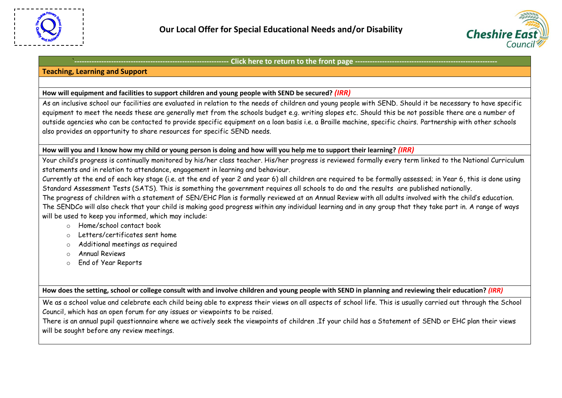

# **Teaching, Learning and Support**

### **How will equipment and facilities to support children and young people with SEND be secured?** *(IRR)*

As an inclusive school our facilities are evaluated in relation to the needs of children and young people with SEND. Should it be necessary to have specific equipment to meet the needs these are generally met from the schools budget e.g. writing slopes etc. Should this be not possible there are a number of outside agencies who can be contacted to provide specific equipment on a loan basis i.e. a Braille machine, specific chairs. Partnership with other schools also provides an opportunity to share resources for specific SEND needs.

**How will you and I know how my child or young person is doing and how will you help me to support their learning?** *(IRR)*

Your child's progress is continually monitored by his/her class teacher. His/her progress is reviewed formally every term linked to the National Curriculum statements and in relation to attendance, engagement in learning and behaviour.

Currently at the end of each key stage (i.e. at the end of year 2 and year 6) all children are required to be formally assessed; in Year 6, this is done using Standard Assessment Tests (SATS). This is something the government requires all schools to do and the results are published nationally.

The progress of children with a statement of SEN/EHC Plan is formally reviewed at an Annual Review with all adults involved with the child's education. The SENDCo will also check that your child is making good progress within any individual learning and in any group that they take part in. A range of ways will be used to keep you informed, which may include:

- o Home/school contact book
- o Letters/certificates sent home
- o Additional meetings as required
- o Annual Reviews
- o End of Year Reports

**How does the setting, school or college consult with and involve children and young people with SEND in planning and reviewing their education?** *(IRR)*

We as a school value and celebrate each child being able to express their views on all aspects of school life. This is usually carried out through the School Council, which has an open forum for any issues or viewpoints to be raised.

There is an annual pupil questionnaire where we actively seek the viewpoints of children .If your child has a Statement of SEND or EHC plan their views will be sought before any review meetings.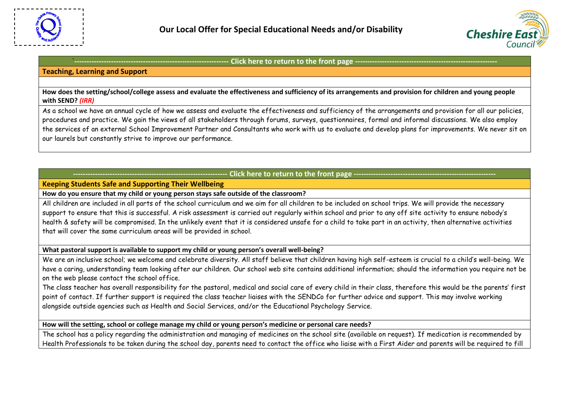

# **Teaching, Learning and Support**

**How does the setting/school/college assess and evaluate the effectiveness and sufficiency of its arrangements and provision for children and young people with SEND?** *(IRR)*

As a school we have an annual cycle of how we assess and evaluate the effectiveness and sufficiency of the arrangements and provision for all our policies, procedures and practice. We gain the views of all stakeholders through forums, surveys, questionnaires, formal and informal discussions. We also employ the services of an external School Improvement Partner and Consultants who work with us to evaluate and develop plans for improvements. We never sit on our laurels but constantly strive to improve our performance.

# Click here to return to the front page -

# <span id="page-5-0"></span>**Keeping Students Safe and Supporting Their Wellbeing**

**How do you ensure that my child or young person stays safe outside of the classroom?** 

All children are included in all parts of the school curriculum and we aim for all children to be included on school trips. We will provide the necessary support to ensure that this is successful. A risk assessment is carried out regularly within school and prior to any off site activity to ensure nobody's health & safety will be compromised. In the unlikely event that it is considered unsafe for a child to take part in an activity, then alternative activities that will cover the same curriculum areas will be provided in school.

**What pastoral support is available to support my child or young person's overall well-being?** 

We are an inclusive school; we welcome and celebrate diversity. All staff believe that children having high self-esteem is crucial to a child's well-being. We have a caring, understanding team looking after our children. Our school web site contains additional information; should the information you require not be on the web please contact the school office.

The class teacher has overall responsibility for the pastoral, medical and social care of every child in their class, therefore this would be the parents' first point of contact. If further support is required the class teacher liaises with the SENDCo for further advice and support. This may involve working alongside outside agencies such as Health and Social Services, and/or the Educational Psychology Service.

**How will the setting, school or college manage my child or young person's medicine or personal care needs?**

The school has a policy regarding the administration and managing of medicines on the school site (available on request). If medication is recommended by Health Professionals to be taken during the school day, parents need to contact the office who liaise with a First Aider and parents will be required to fill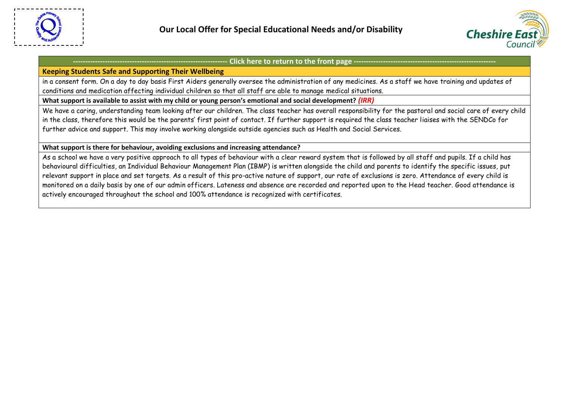



#### **Keeping Students Safe and Supporting Their Wellbeing**

in a consent form. On a day to day basis First Aiders generally oversee the administration of any medicines. As a staff we have training and updates of conditions and medication affecting individual children so that all staff are able to manage medical situations.

What support is available to assist with my child or young person's emotional and social development? *(IRR)* 

We have a caring, understanding team looking after our children. The class teacher has overall responsibility for the pastoral and social care of every child in the class, therefore this would be the parents' first point of contact. If further support is required the class teacher liaises with the SENDCo for further advice and support. This may involve working alongside outside agencies such as Health and Social Services.

#### **What support is there for behaviour, avoiding exclusions and increasing attendance?**

As a school we have a very positive approach to all types of behaviour with a clear reward system that is followed by all staff and pupils. If a child has behavioural difficulties, an Individual Behaviour Management Plan (IBMP) is written alongside the child and parents to identify the specific issues, put relevant support in place and set targets. As a result of this pro-active nature of support, our rate of exclusions is zero. Attendance of every child is monitored on a daily basis by one of our admin officers. Lateness and absence are recorded and reported upon to the Head teacher. Good attendance is actively encouraged throughout the school and 100% attendance is recognized with certificates.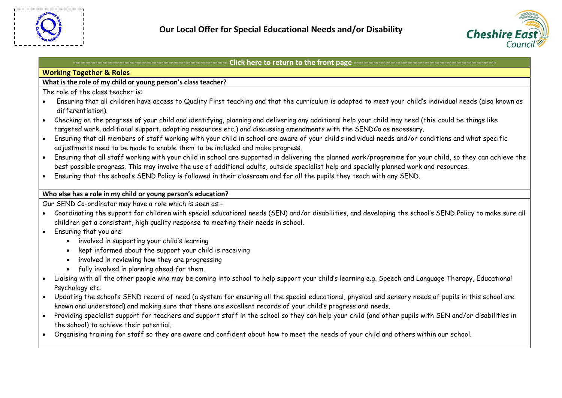



### <span id="page-7-0"></span>**Working Together & Roles**

# **What is the role of my child or young person's class teacher?**

The role of the class teacher is:

- Ensuring that all children have access to Quality First teaching and that the curriculum is adapted to meet your child's individual needs (also known as differentiation).
- Checking on the progress of your child and identifying, planning and delivering any additional help your child may need (this could be things like targeted work, additional support, adapting resources etc.) and discussing amendments with the SENDCo as necessary.
- Ensuring that all members of staff working with your child in school are aware of your child's individual needs and/or conditions and what specific adjustments need to be made to enable them to be included and make progress.
- Ensuring that all staff working with your child in school are supported in delivering the planned work/programme for your child, so they can achieve the best possible progress. This may involve the use of additional adults, outside specialist help and specially planned work and resources.
- Ensuring that the school's SEND Policy is followed in their classroom and for all the pupils they teach with any SEND.

# **Who else has a role in my child or young person's education?**

Our SEND Co-ordinator may have a role which is seen as:-

- Coordinating the support for children with special educational needs (SEN) and/or disabilities, and developing the school's SEND Policy to make sure all children get a consistent, high quality response to meeting their needs in school.
- Ensuring that you are:
	- involved in supporting your child's learning
	- kept informed about the support your child is receiving
	- involved in reviewing how they are progressing
	- fully involved in planning ahead for them.
- Liaising with all the other people who may be coming into school to help support your child's learning e.g. Speech and Language Therapy, Educational Psychology etc.
- Updating the school's SEND record of need (a system for ensuring all the special educational, physical and sensory needs of pupils in this school are known and understood) and making sure that there are excellent records of your child's progress and needs.
- Providing specialist support for teachers and support staff in the school so they can help your child (and other pupils with SEN and/or disabilities in the school) to achieve their potential.
- Organising training for staff so they are aware and confident about how to meet the needs of your child and others within our school.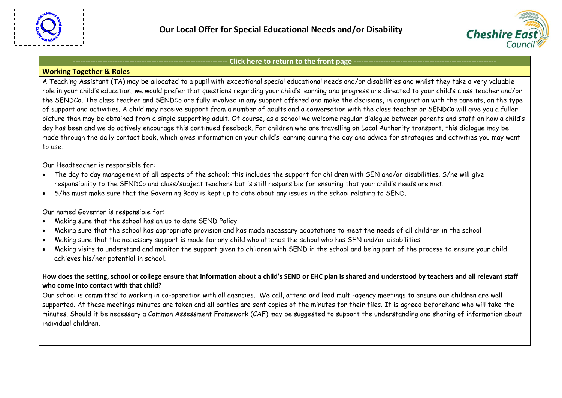



#### **Working Together & Roles**

A Teaching Assistant (TA) may be allocated to a pupil with exceptional special educational needs and/or disabilities and whilst they take a very valuable role in your child's education, we would prefer that questions regarding your child's learning and progress are directed to your child's class teacher and/or the SENDCo. The class teacher and SENDCo are fully involved in any support offered and make the decisions, in conjunction with the parents, on the type of support and activities. A child may receive support from a number of adults and a conversation with the class teacher or SENDCo will give you a fuller picture than may be obtained from a single supporting adult. Of course, as a school we welcome regular dialogue between parents and staff on how a child's day has been and we do actively encourage this continued feedback. For children who are travelling on Local Authority transport, this dialogue may be made through the daily contact book, which gives information on your child's learning during the day and advice for strategies and activities you may want to use.

Our Headteacher is responsible for:

- The day to day management of all aspects of the school; this includes the support for children with SEN and/or disabilities. S/he will give responsibility to the SENDCo and class/subject teachers but is still responsible for ensuring that your child's needs are met.
- S/he must make sure that the Governing Body is kept up to date about any issues in the school relating to SEND.

Our named Governor is responsible for:

- Making sure that the school has an up to date SEND Policy
- Making sure that the school has appropriate provision and has made necessary adaptations to meet the needs of all children in the school
- Making sure that the necessary support is made for any child who attends the school who has SEN and/or disabilities.
- Making visits to understand and monitor the support given to children with SEND in the school and being part of the process to ensure your child achieves his/her potential in school.

**How does the setting, school or college ensure that information about a child's SEND or EHC plan is shared and understood by teachers and all relevant staff who come into contact with that child?**

Our school is committed to working in co-operation with all agencies. We call, attend and lead multi-agency meetings to ensure our children are well supported. At these meetings minutes are taken and all parties are sent copies of the minutes for their files. It is agreed beforehand who will take the minutes. Should it be necessary a Common Assessment Framework (CAF) may be suggested to support the understanding and sharing of information about individual children.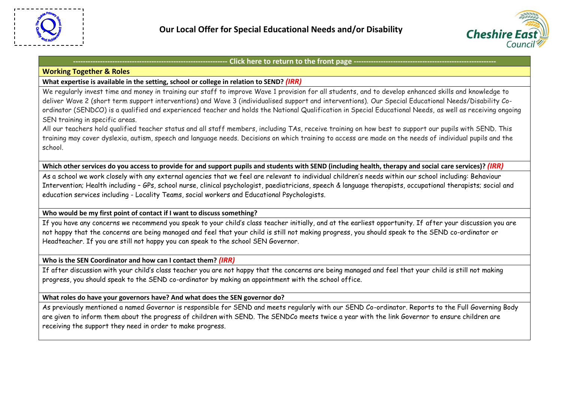

#### **Working Together & Roles**

### **What expertise is available in the setting, school or college in relation to SEND?** *(IRR)*

We regularly invest time and money in training our staff to improve Wave 1 provision for all students, and to develop enhanced skills and knowledge to deliver Wave 2 (short term support interventions) and Wave 3 (individualised support and interventions). Our Special Educational Needs/Disability Coordinator (SENDCO) is a qualified and experienced teacher and holds the National Qualification in Special Educational Needs, as well as receiving ongoing SEN training in specific areas.

All our teachers hold qualified teacher status and all staff members, including TAs, receive training on how best to support our pupils with SEND. This training may cover dyslexia, autism, speech and language needs. Decisions on which training to access are made on the needs of individual pupils and the school.

**Which other services do you access to provide for and support pupils and students with SEND (including health, therapy and social care services)?** *(IRR)*

As a school we work closely with any external agencies that we feel are relevant to individual children's needs within our school including: Behaviour Intervention; Health including – GPs, school nurse, clinical psychologist, paediatricians, speech & language therapists, occupational therapists; social and education services including - Locality Teams, social workers and Educational Psychologists.

**Who would be my first point of contact if I want to discuss something?**

If you have any concerns we recommend you speak to your child's class teacher initially, and at the earliest opportunity. If after your discussion you are not happy that the concerns are being managed and feel that your child is still not making progress, you should speak to the SEND co-ordinator or Headteacher. If you are still not happy you can speak to the school SEN Governor.

**Who is the SEN Coordinator and how can I contact them?** *(IRR)*

If after discussion with your child's class teacher you are not happy that the concerns are being managed and feel that your child is still not making progress, you should speak to the SEND co-ordinator by making an appointment with the school office.

**What roles do have your governors have? And what does the SEN governor do?**

As previously mentioned a named Governor is responsible for SEND and meets regularly with our SEND Co-ordinator. Reports to the Full Governing Body are given to inform them about the progress of children with SEND. The SENDCo meets twice a year with the link Governor to ensure children are receiving the support they need in order to make progress.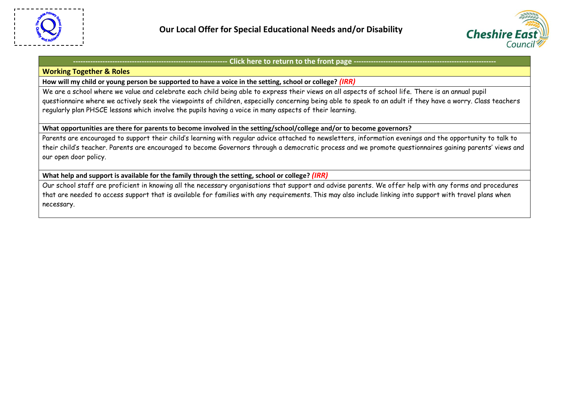

#### **Working Together & Roles**

### **How will my child or young person be supported to have a voice in the setting, school or college?** *(IRR)*

We are a school where we value and celebrate each child being able to express their views on all aspects of school life. There is an annual pupil questionnaire where we actively seek the viewpoints of children, especially concerning being able to speak to an adult if they have a worry. Class teachers regularly plan PHSCE lessons which involve the pupils having a voice in many aspects of their learning.

### **What opportunities are there for parents to become involved in the setting/school/college and/or to become governors?**

Parents are encouraged to support their child's learning with regular advice attached to newsletters, information evenings and the opportunity to talk to their child's teacher. Parents are encouraged to become Governors through a democratic process and we promote questionnaires gaining parents' views and our open door policy.

### **What help and support is available for the family through the setting, school or college?** *(IRR)*

Our school staff are proficient in knowing all the necessary organisations that support and advise parents. We offer help with any forms and procedures that are needed to access support that is available for families with any requirements. This may also include linking into support with travel plans when necessary.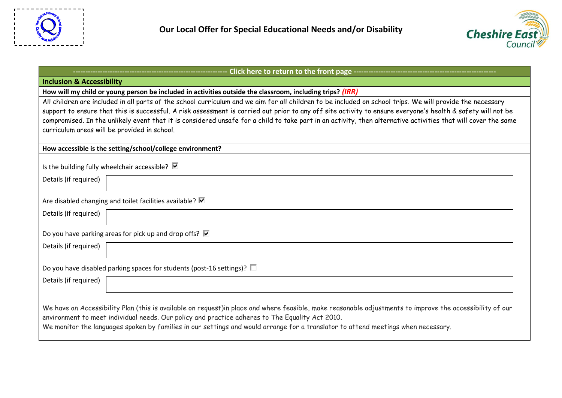



<span id="page-11-0"></span>

| Click here to return to the front page -------------------                                                                                                                                                                                                                                                                                                                                                                                                                                                                                |  |  |  |  |
|-------------------------------------------------------------------------------------------------------------------------------------------------------------------------------------------------------------------------------------------------------------------------------------------------------------------------------------------------------------------------------------------------------------------------------------------------------------------------------------------------------------------------------------------|--|--|--|--|
| <b>Inclusion &amp; Accessibility</b>                                                                                                                                                                                                                                                                                                                                                                                                                                                                                                      |  |  |  |  |
| How will my child or young person be included in activities outside the classroom, including trips? (IRR)                                                                                                                                                                                                                                                                                                                                                                                                                                 |  |  |  |  |
| All children are included in all parts of the school curriculum and we aim for all children to be included on school trips. We will provide the necessary<br>support to ensure that this is successful. A risk assessment is carried out prior to any off site activity to ensure everyone's health & safety will not be<br>compromised. In the unlikely event that it is considered unsafe for a child to take part in an activity, then alternative activities that will cover the same<br>curriculum areas will be provided in school. |  |  |  |  |
| How accessible is the setting/school/college environment?                                                                                                                                                                                                                                                                                                                                                                                                                                                                                 |  |  |  |  |
| Is the building fully wheelchair accessible? $\blacksquare$                                                                                                                                                                                                                                                                                                                                                                                                                                                                               |  |  |  |  |
| Details (if required)                                                                                                                                                                                                                                                                                                                                                                                                                                                                                                                     |  |  |  |  |
| Are disabled changing and toilet facilities available? $\blacksquare$                                                                                                                                                                                                                                                                                                                                                                                                                                                                     |  |  |  |  |
| Details (if required)                                                                                                                                                                                                                                                                                                                                                                                                                                                                                                                     |  |  |  |  |
| Do you have parking areas for pick up and drop offs? $\triangledown$                                                                                                                                                                                                                                                                                                                                                                                                                                                                      |  |  |  |  |
| Details (if required)                                                                                                                                                                                                                                                                                                                                                                                                                                                                                                                     |  |  |  |  |
| Do you have disabled parking spaces for students (post-16 settings)? $\square$                                                                                                                                                                                                                                                                                                                                                                                                                                                            |  |  |  |  |
| Details (if required)                                                                                                                                                                                                                                                                                                                                                                                                                                                                                                                     |  |  |  |  |
| We have an Accessibility Plan (this is available on request)in place and where feasible, make reasonable adjustments to improve the accessibility of our<br>environment to meet individual needs. Our policy and practice adheres to The Equality Act 2010.<br>We monitor the languages spoken by families in our settings and would arrange for a translator to attend meetings when necessary.                                                                                                                                          |  |  |  |  |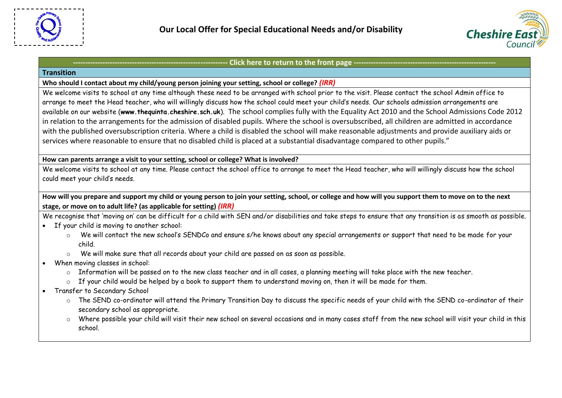

# <span id="page-12-0"></span>Click here to return to the front page -**Transition Who should I contact about my child/young person joining your setting, school or college?** *(IRR)* We welcome visits to school at any time although these need to be arranged with school prior to the visit. Please contact the school Admin office to arrange to meet the Head teacher, who will willingly discuss how the school could meet your child's needs. Our schools admission arrangements are available on our website (**[www.thequinta.cheshire.sch.uk](http://www.thequinta.cheshire.sch.uk/)**). The school complies fully with the Equality Act 2010 and the School Admissions Code 2012 in relation to the arrangements for the admission of disabled pupils. Where the school is oversubscribed, all children are admitted in accordance with the published oversubscription criteria. Where a child is disabled the school will make reasonable adjustments and provide auxiliary aids or services where reasonable to ensure that no disabled child is placed at a substantial disadvantage compared to other pupils." **How can parents arrange a visit to your setting, school or college? What is involved?** We welcome visits to school at any time. Please contact the school office to arrange to meet the Head teacher, who will willingly discuss how the school could meet your child's needs. **How will you prepare and support my child or young person to join your setting, school, or college and how will you support them to move on to the next stage, or move on to adult life? (as applicable for setting)** *(IRR)* We recognise that 'moving on' can be difficult for a child with SEN and/or disabilities and take steps to ensure that any transition is as smooth as possible. If your child is moving to another school: o We will contact the new school's SENDCo and ensure s/he knows about any special arrangements or support that need to be made for your child. o We will make sure that all records about your child are passed on as soon as possible. When moving classes in school: o Information will be passed on to the new class teacher and in all cases, a planning meeting will take place with the new teacher. o If your child would be helped by a book to support them to understand moving on, then it will be made for them. Transfer to Secondary School o The SEND co-ordinator will attend the Primary Transition Day to discuss the specific needs of your child with the SEND co-ordinator of their secondary school as appropriate.

o Where possible your child will visit their new school on several occasions and in many cases staff from the new school will visit your child in this school.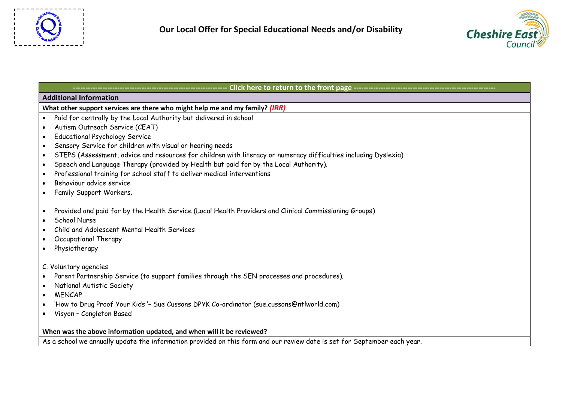



<span id="page-13-0"></span>

| <b>Additional Information</b>                                                                                                                                                                                                                              |  |  |  |  |
|------------------------------------------------------------------------------------------------------------------------------------------------------------------------------------------------------------------------------------------------------------|--|--|--|--|
| What other support services are there who might help me and my family? (IRR)                                                                                                                                                                               |  |  |  |  |
| Paid for centrally by the Local Authority but delivered in school                                                                                                                                                                                          |  |  |  |  |
| Autism Outreach Service (CEAT)                                                                                                                                                                                                                             |  |  |  |  |
| <b>Educational Psychology Service</b><br>$\bullet$                                                                                                                                                                                                         |  |  |  |  |
| Sensory Service for children with visual or hearing needs<br>$\bullet$                                                                                                                                                                                     |  |  |  |  |
| STEPS (Assessment, advice and resources for children with literacy or numeracy difficulties including Dyslexia)<br>$\bullet$                                                                                                                               |  |  |  |  |
| Speech and Language Therapy (provided by Health but paid for by the Local Authority).<br>$\bullet$                                                                                                                                                         |  |  |  |  |
| Professional training for school staff to deliver medical interventions<br>$\bullet$                                                                                                                                                                       |  |  |  |  |
| Behaviour advice service<br>$\bullet$                                                                                                                                                                                                                      |  |  |  |  |
| Family Support Workers.<br>$\bullet$                                                                                                                                                                                                                       |  |  |  |  |
| Provided and paid for by the Health Service (Local Health Providers and Clinical Commissioning Groups)<br>$\bullet$<br>School Nurse<br>$\bullet$<br>Child and Adolescent Mental Health Services<br>Occupational Therapy<br>$\bullet$<br>Physiotherapy<br>٠ |  |  |  |  |
| C. Voluntary agencies                                                                                                                                                                                                                                      |  |  |  |  |
| Parent Partnership Service (to support families through the SEN processes and procedures).<br>$\bullet$                                                                                                                                                    |  |  |  |  |
| National Autistic Society                                                                                                                                                                                                                                  |  |  |  |  |
| <b>MENCAP</b><br>$\bullet$                                                                                                                                                                                                                                 |  |  |  |  |
| 'How to Drug Proof Your Kids '- Sue Cussons DPYK Co-ordinator (sue.cussons@ntlworld.com)<br>$\bullet$                                                                                                                                                      |  |  |  |  |
| Visyon - Congleton Based<br>$\bullet$                                                                                                                                                                                                                      |  |  |  |  |
|                                                                                                                                                                                                                                                            |  |  |  |  |
| When was the above information updated, and when will it be reviewed?                                                                                                                                                                                      |  |  |  |  |
| As a school we annually update the information provided on this form and our review date is set for September each year.                                                                                                                                   |  |  |  |  |